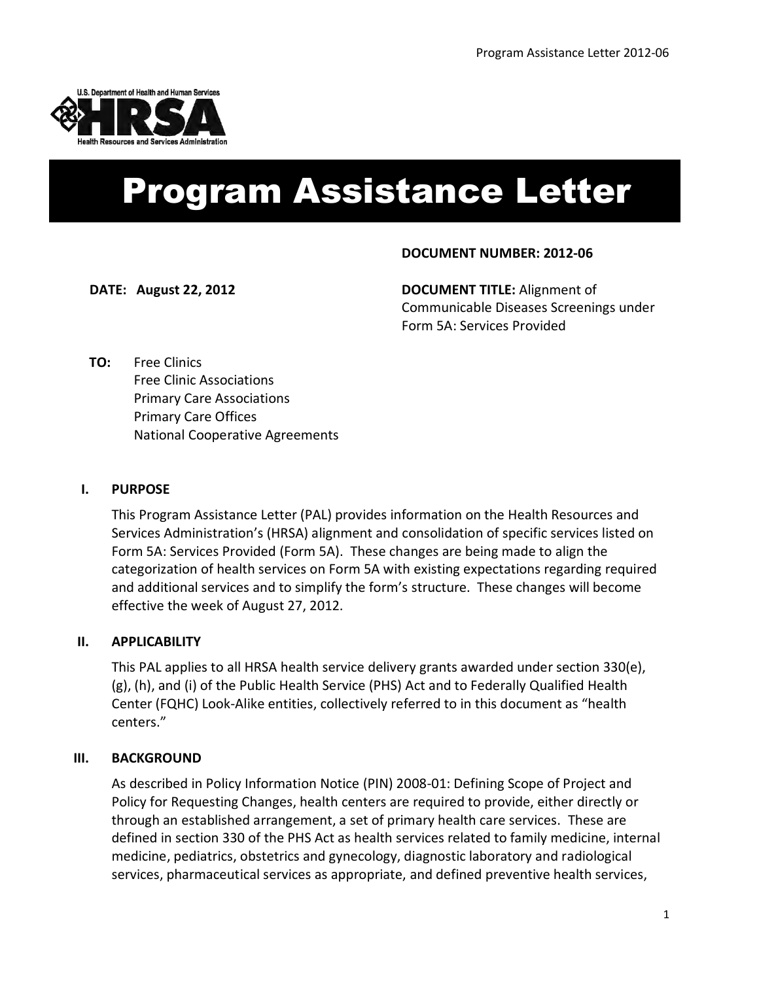

# **DOCUMENT NUMBER: PAL 2010 - XX** Program Assistance Letter

#### **DOCUMENT NUMBER: 2012-06**

**DATE: August 22, 2012 DOCUMENT TITLE:** Alignment of Communicable Diseases Screenings under Form 5A: Services Provided

**TO:** Free Clinics Free Clinic Associations Primary Care Associations Primary Care Offices National Cooperative Agreements

#### **I. PURPOSE**

This Program Assistance Letter (PAL) provides information on the Health Resources and Services Administration's (HRSA) alignment and consolidation of specific services listed on Form 5A: Services Provided (Form 5A). These changes are being made to align the categorization of health services on Form 5A with existing expectations regarding required and additional services and to simplify the form's structure. These changes will become effective the week of August 27, 2012.

#### **II. APPLICABILITY**

This PAL applies to all HRSA health service delivery grants awarded under section 330(e), (g), (h), and (i) of the Public Health Service (PHS) Act and to Federally Qualified Health Center (FQHC) Look-Alike entities, collectively referred to in this document as "health centers."

#### **III. BACKGROUND**

As described in Policy Information Notice (PIN) 2008-01: Defining Scope of Project and Policy for Requesting Changes, health centers are required to provide, either directly or through an established arrangement, a set of primary health care services. These are defined in section 330 of the PHS Act as health services related to family medicine, internal medicine, pediatrics, obstetrics and gynecology, diagnostic laboratory and radiological services, pharmaceutical services as appropriate, and defined preventive health services,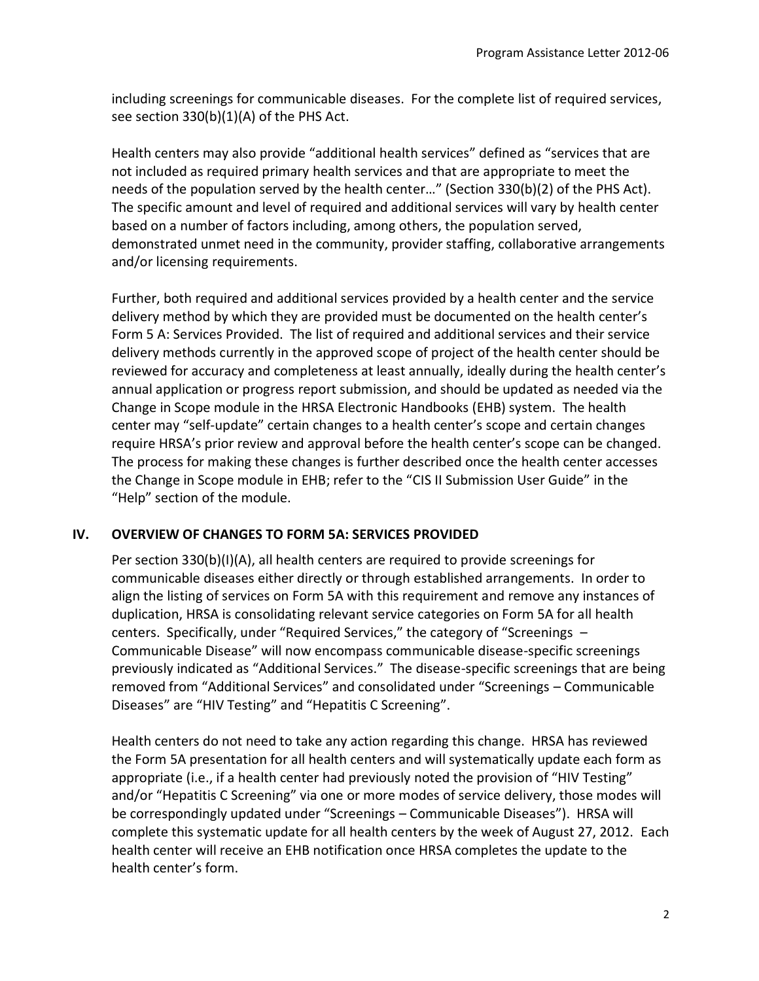including screenings for communicable diseases. For the complete list of required services, see section 330(b)(1)(A) of the PHS Act.

Health centers may also provide "additional health services" defined as "services that are not included as required primary health services and that are appropriate to meet the needs of the population served by the health center…" (Section 330(b)(2) of the PHS Act). The specific amount and level of required and additional services will vary by health center based on a number of factors including, among others, the population served, demonstrated unmet need in the community, provider staffing, collaborative arrangements and/or licensing requirements.

Further, both required and additional services provided by a health center and the service delivery method by which they are provided must be documented on the health center's Form 5 A: Services Provided. The list of required and additional services and their service delivery methods currently in the approved scope of project of the health center should be reviewed for accuracy and completeness at least annually, ideally during the health center's annual application or progress report submission, and should be updated as needed via the Change in Scope module in the HRSA Electronic Handbooks (EHB) system. The health center may "self-update" certain changes to a health center's scope and certain changes require HRSA's prior review and approval before the health center's scope can be changed. The process for making these changes is further described once the health center accesses the Change in Scope module in EHB; refer to the "CIS II Submission User Guide" in the "Help" section of the module.

## **IV. OVERVIEW OF CHANGES TO FORM 5A: SERVICES PROVIDED**

Per section 330(b)(I)(A), all health centers are required to provide screenings for communicable diseases either directly or through established arrangements. In order to align the listing of services on Form 5A with this requirement and remove any instances of duplication, HRSA is consolidating relevant service categories on Form 5A for all health centers. Specifically, under "Required Services," the category of "Screenings – Communicable Disease" will now encompass communicable disease-specific screenings previously indicated as "Additional Services." The disease-specific screenings that are being removed from "Additional Services" and consolidated under "Screenings – Communicable Diseases" are "HIV Testing" and "Hepatitis C Screening".

Health centers do not need to take any action regarding this change. HRSA has reviewed the Form 5A presentation for all health centers and will systematically update each form as appropriate (i.e., if a health center had previously noted the provision of "HIV Testing" and/or "Hepatitis C Screening" via one or more modes of service delivery, those modes will be correspondingly updated under "Screenings – Communicable Diseases"). HRSA will complete this systematic update for all health centers by the week of August 27, 2012. Each health center will receive an EHB notification once HRSA completes the update to the health center's form.